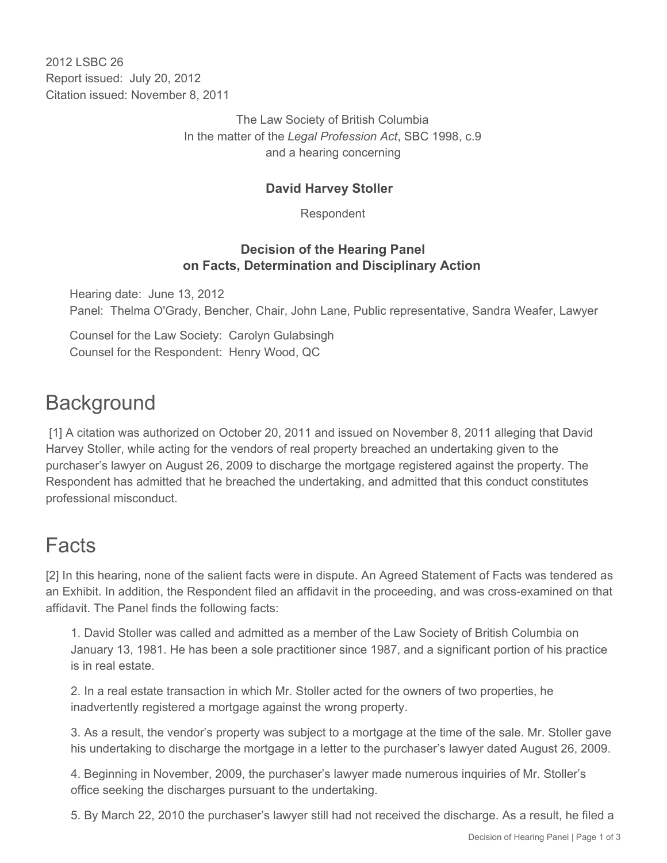2012 LSBC 26 Report issued: July 20, 2012 Citation issued: November 8, 2011

> The Law Society of British Columbia In the matter of the *Legal Profession Act*, SBC 1998, c.9 and a hearing concerning

## **David Harvey Stoller**

Respondent

### **Decision of the Hearing Panel on Facts, Determination and Disciplinary Action**

Hearing date: June 13, 2012 Panel: Thelma O'Grady, Bencher, Chair, John Lane, Public representative, Sandra Weafer, Lawyer

Counsel for the Law Society: Carolyn Gulabsingh Counsel for the Respondent: Henry Wood, QC

## **Background**

 [1] A citation was authorized on October 20, 2011 and issued on November 8, 2011 alleging that David Harvey Stoller, while acting for the vendors of real property breached an undertaking given to the purchaser's lawyer on August 26, 2009 to discharge the mortgage registered against the property. The Respondent has admitted that he breached the undertaking, and admitted that this conduct constitutes professional misconduct.

# Facts

[2] In this hearing, none of the salient facts were in dispute. An Agreed Statement of Facts was tendered as an Exhibit. In addition, the Respondent filed an affidavit in the proceeding, and was cross-examined on that affidavit. The Panel finds the following facts:

1. David Stoller was called and admitted as a member of the Law Society of British Columbia on January 13, 1981. He has been a sole practitioner since 1987, and a significant portion of his practice is in real estate.

2. In a real estate transaction in which Mr. Stoller acted for the owners of two properties, he inadvertently registered a mortgage against the wrong property.

3. As a result, the vendor's property was subject to a mortgage at the time of the sale. Mr. Stoller gave his undertaking to discharge the mortgage in a letter to the purchaser's lawyer dated August 26, 2009.

4. Beginning in November, 2009, the purchaser's lawyer made numerous inquiries of Mr. Stoller's office seeking the discharges pursuant to the undertaking.

5. By March 22, 2010 the purchaser's lawyer still had not received the discharge. As a result, he filed a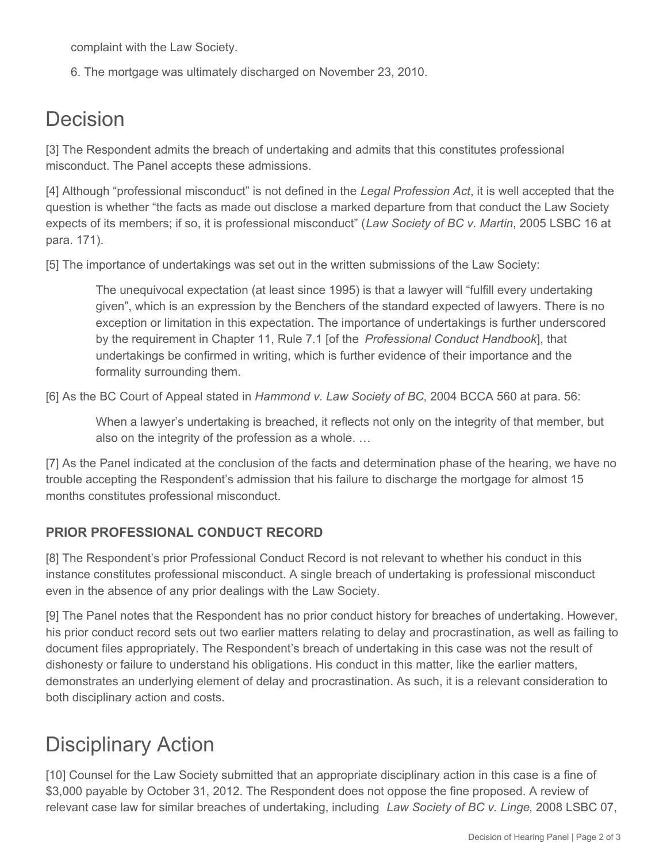complaint with the Law Society.

6. The mortgage was ultimately discharged on November 23, 2010.

# Decision

[3] The Respondent admits the breach of undertaking and admits that this constitutes professional misconduct. The Panel accepts these admissions.

[4] Although "professional misconduct" is not defined in the *Legal Profession Act*, it is well accepted that the question is whether "the facts as made out disclose a marked departure from that conduct the Law Society expects of its members; if so, it is professional misconduct" (*Law Society of BC v. Martin*, 2005 LSBC 16 at para. 171).

[5] The importance of undertakings was set out in the written submissions of the Law Society:

The unequivocal expectation (at least since 1995) is that a lawyer will "fulfill every undertaking given", which is an expression by the Benchers of the standard expected of lawyers. There is no exception or limitation in this expectation. The importance of undertakings is further underscored by the requirement in Chapter 11, Rule 7.1 [of the *Professional Conduct Handbook*], that undertakings be confirmed in writing, which is further evidence of their importance and the formality surrounding them.

[6] As the BC Court of Appeal stated in *Hammond v. Law Society of BC*, 2004 BCCA 560 at para. 56:

When a lawyer's undertaking is breached, it reflects not only on the integrity of that member, but also on the integrity of the profession as a whole. …

[7] As the Panel indicated at the conclusion of the facts and determination phase of the hearing, we have no trouble accepting the Respondent's admission that his failure to discharge the mortgage for almost 15 months constitutes professional misconduct.

## **PRIOR PROFESSIONAL CONDUCT RECORD**

[8] The Respondent's prior Professional Conduct Record is not relevant to whether his conduct in this instance constitutes professional misconduct. A single breach of undertaking is professional misconduct even in the absence of any prior dealings with the Law Society.

[9] The Panel notes that the Respondent has no prior conduct history for breaches of undertaking. However, his prior conduct record sets out two earlier matters relating to delay and procrastination, as well as failing to document files appropriately. The Respondent's breach of undertaking in this case was not the result of dishonesty or failure to understand his obligations. His conduct in this matter, like the earlier matters, demonstrates an underlying element of delay and procrastination. As such, it is a relevant consideration to both disciplinary action and costs.

# Disciplinary Action

[10] Counsel for the Law Society submitted that an appropriate disciplinary action in this case is a fine of \$3,000 payable by October 31, 2012. The Respondent does not oppose the fine proposed. A review of relevant case law for similar breaches of undertaking, including *Law Society of BC v. Linge*, 2008 LSBC 07,